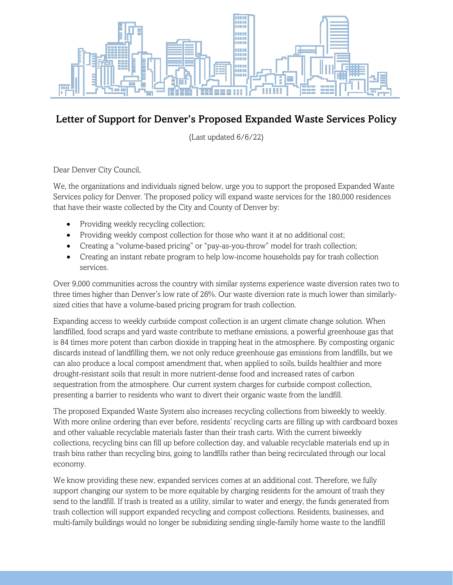

## Letter of Support for Denver's Proposed Expanded Waste Services Policy

(Last updated 6/6/22)

Dear Denver City Council,

We, the organizations and individuals signed below, urge you to support the proposed Expanded Waste Services policy for Denver. The proposed policy will expand waste services for the 180,000 residences that have their waste collected by the City and County of Denver by:

- Providing weekly recycling collection;
- Providing weekly compost collection for those who want it at no additional cost;
- Creating a "volume-based pricing" or "pay-as-you-throw" model for trash collection;
- Creating an instant rebate program to help low-income households pay for trash collection services.

Over 9,000 communities across the country with similar systems experience waste diversion rates two to three times higher than Denver's low rate of 26%. Our waste diversion rate is much lower than similarlysized cities that have a volume-based pricing program for trash collection.

Expanding access to weekly curbside compost collection is an urgent climate change solution. When landfilled, food scraps and yard waste contribute to methane emissions, a powerful greenhouse gas that is 84 times more potent than carbon dioxide in trapping heat in the atmosphere. By composting organic discards instead of landfilling them, we not only reduce greenhouse gas emissions from landfills, but we can also produce a local compost amendment that, when applied to soils, builds healthier and more drought-resistant soils that result in more nutrient-dense food and increased rates of carbon sequestration from the atmosphere. Our current system charges for curbside compost collection, presenting a barrier to residents who want to divert their organic waste from the landfill.

The proposed Expanded Waste System also increases recycling collections from biweekly to weekly. With more online ordering than ever before, residents' recycling carts are filling up with cardboard boxes and other valuable recyclable materials faster than their trash carts. With the current biweekly collections, recycling bins can fill up before collection day, and valuable recyclable materials end up in trash bins rather than recycling bins, going to landfills rather than being recirculated through our local economy.

We know providing these new, expanded services comes at an additional cost. Therefore, we fully support changing our system to be more equitable by charging residents for the amount of trash they send to the landfill. If trash is treated as a utility, similar to water and energy, the funds generated from trash collection will support expanded recycling and compost collections. Residents, businesses, and multi-family buildings would no longer be subsidizing sending single-family home waste to the landfill